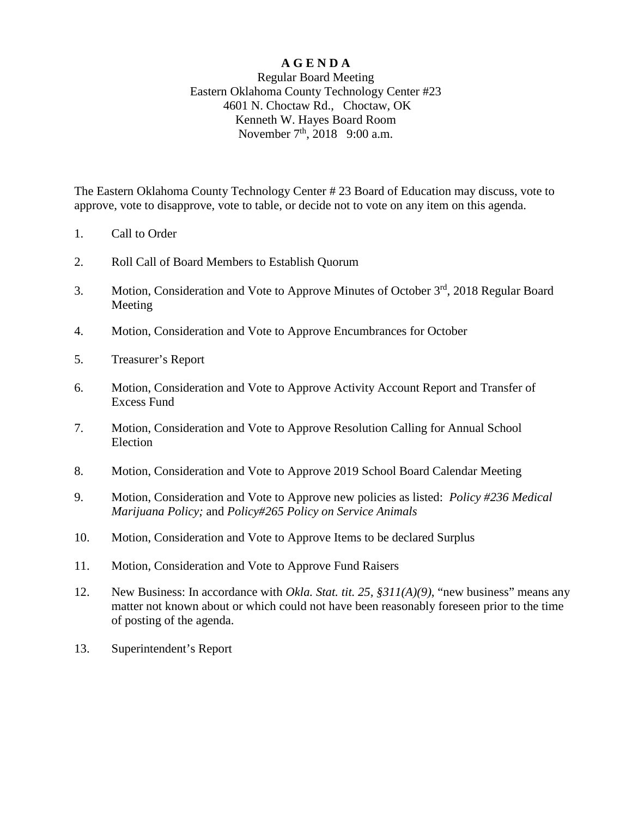#### **A G E N D A**

#### Regular Board Meeting Eastern Oklahoma County Technology Center #23 4601 N. Choctaw Rd., Choctaw, OK Kenneth W. Hayes Board Room November  $7<sup>th</sup>$ , 2018 9:00 a.m.

The Eastern Oklahoma County Technology Center # 23 Board of Education may discuss, vote to approve, vote to disapprove, vote to table, or decide not to vote on any item on this agenda.

- 1. Call to Order
- 2. Roll Call of Board Members to Establish Quorum
- 3. Motion, Consideration and Vote to Approve Minutes of October 3rd, 2018 Regular Board Meeting
- 4. Motion, Consideration and Vote to Approve Encumbrances for October
- 5. Treasurer's Report
- 6. Motion, Consideration and Vote to Approve Activity Account Report and Transfer of Excess Fund
- 7. Motion, Consideration and Vote to Approve Resolution Calling for Annual School Election
- 8. Motion, Consideration and Vote to Approve 2019 School Board Calendar Meeting
- 9. Motion, Consideration and Vote to Approve new policies as listed: *Policy #236 Medical Marijuana Policy;* and *Policy#265 Policy on Service Animals*
- 10. Motion, Consideration and Vote to Approve Items to be declared Surplus
- 11. Motion, Consideration and Vote to Approve Fund Raisers
- 12. New Business: In accordance with *Okla. Stat. tit. 25, §311(A)(9)*, "new business" means any matter not known about or which could not have been reasonably foreseen prior to the time of posting of the agenda.
- 13. Superintendent's Report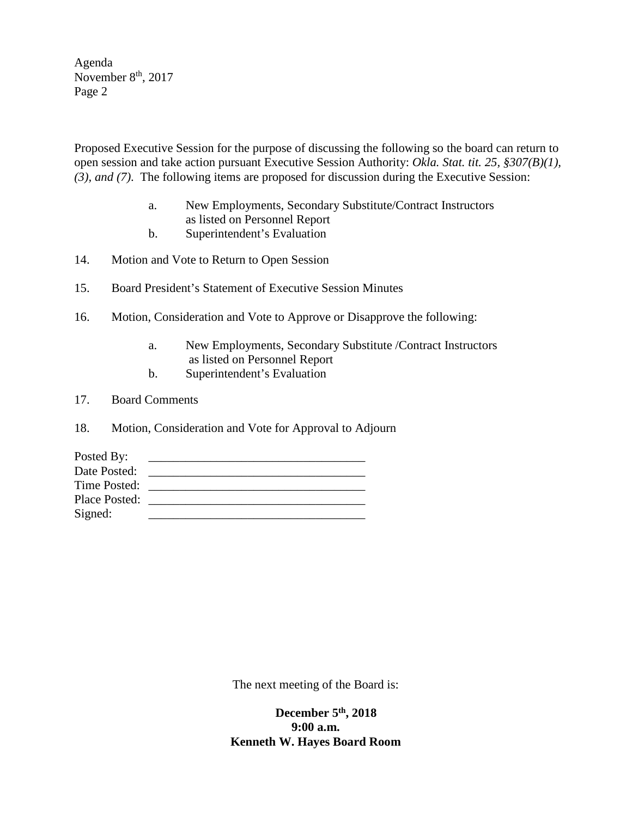Agenda November  $8<sup>th</sup>$ , 2017 Page 2

Proposed Executive Session for the purpose of discussing the following so the board can return to open session and take action pursuant Executive Session Authority: *Okla. Stat. tit. 25, §307(B)(1), (3), and (7)*. The following items are proposed for discussion during the Executive Session:

- a. New Employments, Secondary Substitute/Contract Instructors as listed on Personnel Report
- b. Superintendent's Evaluation
- 14. Motion and Vote to Return to Open Session
- 15. Board President's Statement of Executive Session Minutes
- 16. Motion, Consideration and Vote to Approve or Disapprove the following:
	- a. New Employments, Secondary Substitute /Contract Instructors as listed on Personnel Report
	- b. Superintendent's Evaluation
- 17. Board Comments
- 18. Motion, Consideration and Vote for Approval to Adjourn

| Posted By:    |  |
|---------------|--|
| Date Posted:  |  |
| Time Posted:  |  |
| Place Posted: |  |
| Signed:       |  |

The next meeting of the Board is:

 **December 5th, 2018 9:00 a.m. Kenneth W. Hayes Board Room**